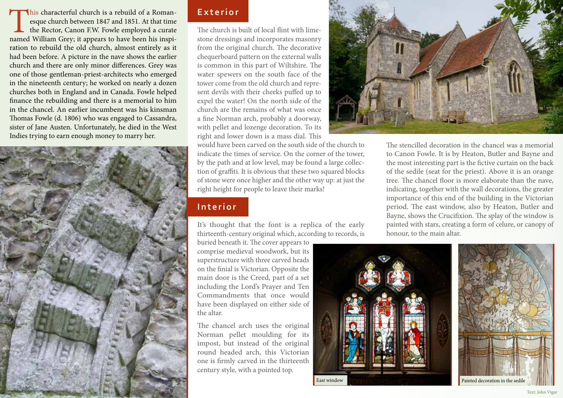his characterful church is a rebuild of a Roman-<br>esque church between 1847 and 1851. At that time<br>the Rector, Canon F.W. Fowle employed a curate<br>named William Grey; it appears to have been his inspiesque church between 1847 and 1851. At that time the Rector, Canon F.W. Fowle employed a curate ration to rebuild the old church, almost entirely as it had been before. A picture in the nave shows the earlier church and there are only minor differences. Grey was one of those gentleman-priest-architects who emerged in the nineteenth century; he worked on nearly a dozen churches both in England and in Canada. Fowle helped finance the rebuilding and there is a memorial to him in the chancel. An earlier incumbent was his kinsman Thomas Fowle (d. 1806) who was engaged to Cassandra, sister of Jane Austen. Unfortunately, he died in the West Indies trying to earn enough money to marry her.



## **Exterior**

The church is built of local flint with limestone dressings and incorporates masonry from the original church. The decorative chequerboard pattern on the external walls is common in this part of Wiltshire. The water spewers on the south face of the tower come from the old church and represent devils with their cheeks puffed up to expel the water! On the north side of the church are the remains of what was once a fine Norman arch, probably a doorway, with pellet and lozenge decoration. To its right and lower down is a mass dial. This

would have been carved on the south side of the church to indicate the times of service. On the corner of the tower, by the path and at low level, may be found a large collection of graffiti. It is obvious that these two squared blocks of stone were once higher and the other way up: at just the right height for people to leave their marks!

# **Interior**

It's thought that the font is a replica of the early thirteenth-century original which, according to records, is

buried beneath it. The cover appears to comprise medieval woodwork, but its superstructure with three carved heads on the finial is Victorian. Opposite the main door is the Creed, part of a set including the Lord's Prayer and Ten Commandments that once would have been displayed on either side of the altar.

The chancel arch uses the original Norman pellet moulding for its impost, but instead of the original round headed arch, this Victorian one is firmly carved in the thirteenth century style, with a pointed top.



The stencilled decoration in the chancel was a memorial to Canon Fowle. It is by Heaton, Butler and Bayne and the most interesting part is the fictive curtain on the back of the sedile (seat for the priest). Above it is an orange tree. The chancel floor is more elaborate than the nave, indicating, together with the wall decorations, the greater importance of this end of the building in the Victorian period. The east window, also by Heaton, Butler and Bayne, shows the Crucifixion. The splay of the window is painted with stars, creating a form of celure, or canopy of honour, to the main altar.